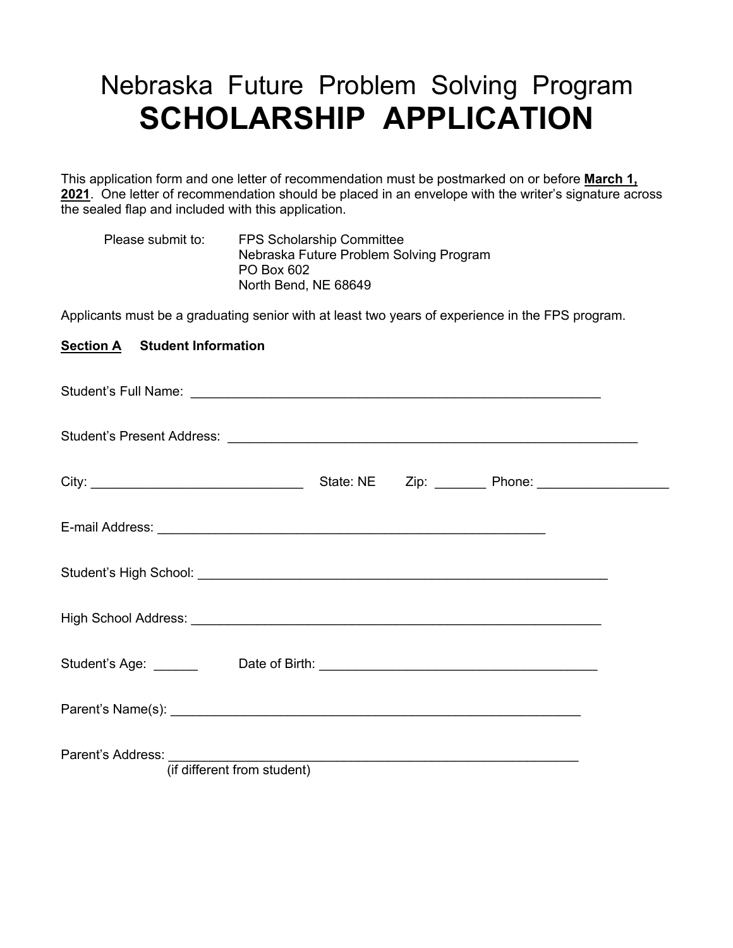# Nebraska Future Problem Solving Program **SCHOLARSHIP APPLICATION**

This application form and one letter of recommendation must be postmarked on or before **March 1, 2021**. One letter of recommendation should be placed in an envelope with the writer's signature across the sealed flap and included with this application.

| Please submit to: | <b>FPS Scholarship Committee</b>        |
|-------------------|-----------------------------------------|
|                   | Nebraska Future Problem Solving Program |
|                   | PO Box 602                              |
|                   | North Bend, NE 68649                    |

Applicants must be a graduating senior with at least two years of experience in the FPS program.

### **Section A Student Information**

| Parent's Address:<br>(if different from student) |  |  |
|--------------------------------------------------|--|--|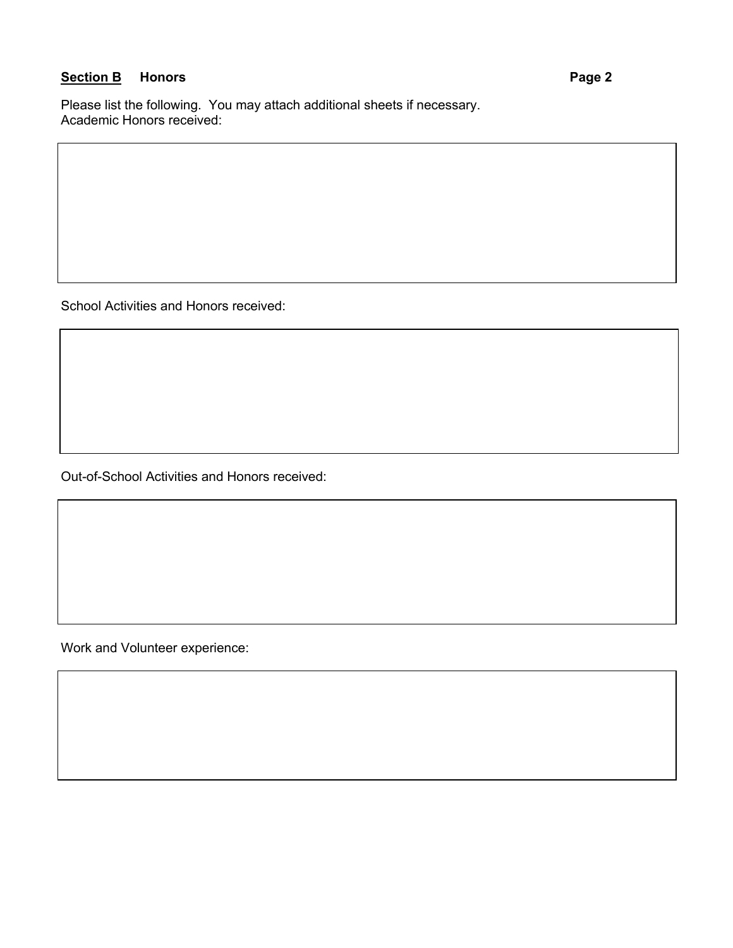## **Section B** Honors **Page 2**

Please list the following. You may attach additional sheets if necessary. Academic Honors received:

School Activities and Honors received:

Out-of-School Activities and Honors received:

Work and Volunteer experience: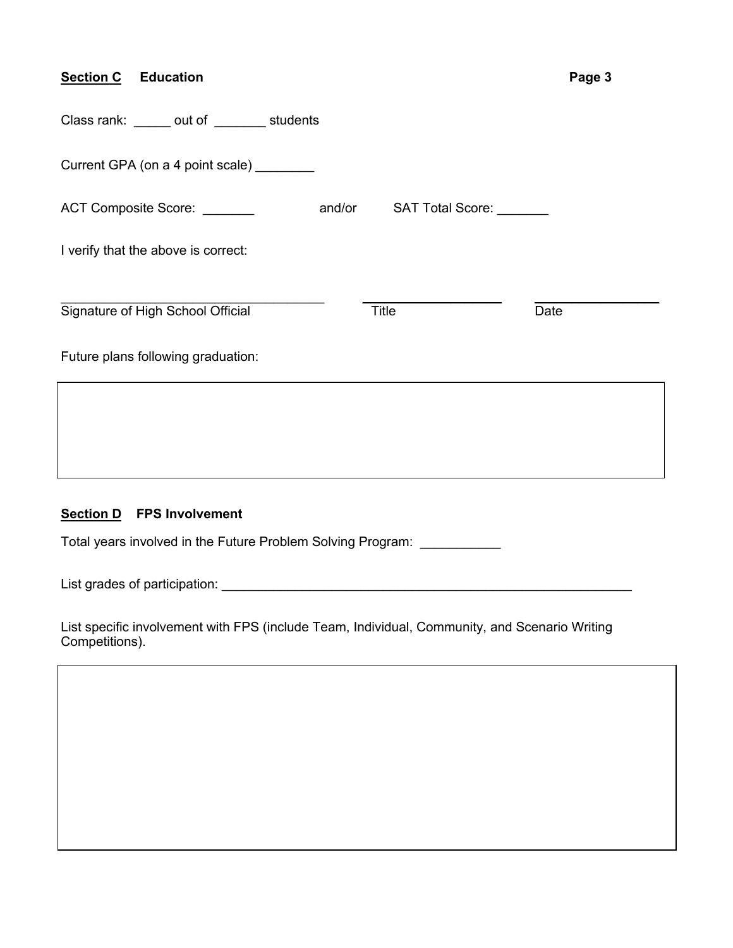| <b>Section C</b> Education                 |                          | Page 3 |
|--------------------------------------------|--------------------------|--------|
| Class rank: ______ out of _______ students |                          |        |
| Current GPA (on a 4 point scale) ________  |                          |        |
| ACT Composite Score: _______<br>and/or     | SAT Total Score: _______ |        |
| I verify that the above is correct:        |                          |        |
| Signature of High School Official          | <b>Title</b><br>Date     |        |
| Future plans following graduation:         |                          |        |
|                                            |                          |        |
|                                            |                          |        |
|                                            |                          |        |

### **Section D FPS Involvement**

Total years involved in the Future Problem Solving Program: \_\_\_\_\_\_\_\_\_\_\_

List grades of participation: \_\_\_\_\_\_\_\_\_\_\_\_\_\_\_\_\_\_\_\_\_\_\_\_\_\_\_\_\_\_\_\_\_\_\_\_\_\_\_\_\_\_\_\_\_\_\_\_\_\_\_\_\_\_\_\_

List specific involvement with FPS (include Team, Individual, Community, and Scenario Writing Competitions).